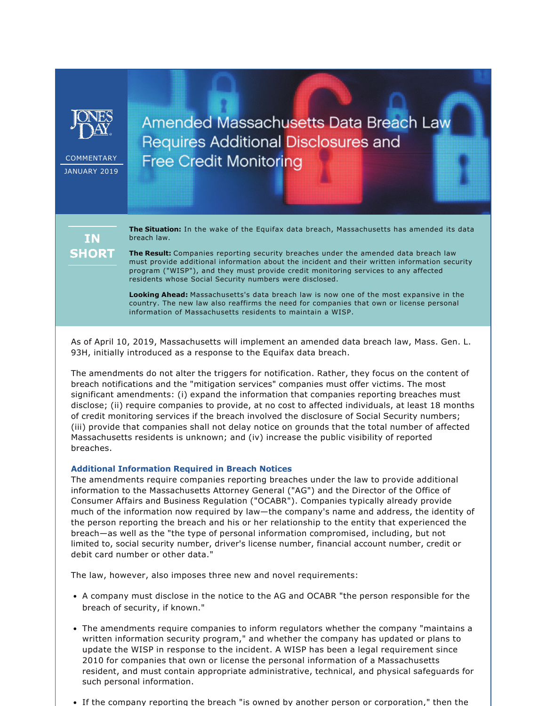

COMMENTARY JANUARY 2019 Amended Massachusetts Data Breach Law Requires Additional Disclosures and **Free Credit Monitoring** 

**IN SHORT**  **The Situation:** In the wake of the Equifax data breach, Massachusetts has amended its data breach law.

**The Result:** Companies reporting security breaches under the amended data breach law must provide additional information about the incident and their written information security program ("WISP"), and they must provide credit monitoring services to any affected residents whose Social Security numbers were disclosed.

**Looking Ahead:** Massachusetts's data breach law is now one of the most expansive in the country. The new law also reaffirms the need for companies that own or license personal information of Massachusetts residents to maintain a WISP.

As of April 10, 2019, Massachusetts will implement an amended data breach law, Mass. Gen. L. 93H, initially introduced as a response to the Equifax data breach.

The amendments do not alter the triggers for notification. Rather, they focus on the content of breach notifications and the "mitigation services" companies must offer victims. The most significant amendments: (i) expand the information that companies reporting breaches must disclose; (ii) require companies to provide, at no cost to affected individuals, at least 18 months of credit monitoring services if the breach involved the disclosure of Social Security numbers; (iii) provide that companies shall not delay notice on grounds that the total number of affected Massachusetts residents is unknown; and (iv) increase the public visibility of reported breaches.

## **Additional Information Required in Breach Notices**

The amendments require companies reporting breaches under the law to provide additional information to the Massachusetts Attorney General ("AG") and the Director of the Office of Consumer Affairs and Business Regulation ("OCABR"). Companies typically already provide much of the information now required by law—the company's name and address, the identity of the person reporting the breach and his or her relationship to the entity that experienced the breach—as well as the "the type of personal information compromised, including, but not limited to, social security number, driver's license number, financial account number, credit or debit card number or other data."

The law, however, also imposes three new and novel requirements:

- A company must disclose in the notice to the AG and OCABR "the person responsible for the breach of security, if known."
- The amendments require companies to inform regulators whether the company "maintains a written information security program," and whether the company has updated or plans to update the WISP in response to the incident. A WISP has been a legal requirement since 2010 for companies that own or license the personal information of a Massachusetts resident, and must contain appropriate administrative, technical, and physical safeguards for such personal information.
- If the company reporting the breach "is owned by another person or corporation," then the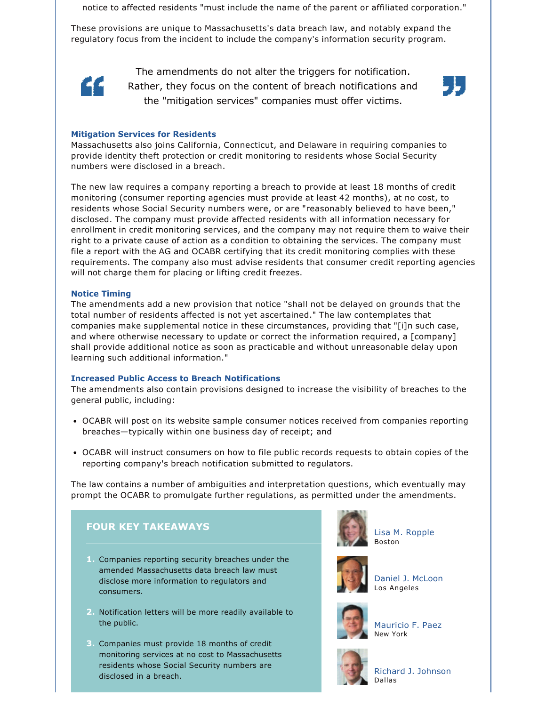notice to affected residents "must include the name of the parent or affiliated corporation."

These provisions are unique to Massachusetts's data breach law, and notably expand the regulatory focus from the incident to include the company's information security program.



The amendments do not alter the triggers for notification. Rather, they focus on the content of breach notifications and the "mitigation services" companies must offer victims.



# **Mitigation Services for Residents**

Massachusetts also joins California, Connecticut, and Delaware in requiring companies to provide identity theft protection or credit monitoring to residents whose Social Security numbers were disclosed in a breach.

The new law requires a company reporting a breach to provide at least 18 months of credit monitoring (consumer reporting agencies must provide at least 42 months), at no cost, to residents whose Social Security numbers were, or are "reasonably believed to have been," disclosed. The company must provide affected residents with all information necessary for enrollment in credit monitoring services, and the company may not require them to waive their right to a private cause of action as a condition to obtaining the services. The company must file a report with the AG and OCABR certifying that its credit monitoring complies with these requirements. The company also must advise residents that consumer credit reporting agencies will not charge them for placing or lifting credit freezes.

## **Notice Timing**

The amendments add a new provision that notice "shall not be delayed on grounds that the total number of residents affected is not yet ascertained." The law contemplates that companies make supplemental notice in these circumstances, providing that "[i]n such case, and where otherwise necessary to update or correct the information required, a [company] shall provide additional notice as soon as practicable and without unreasonable delay upon learning such additional information."

## **Increased Public Access to Breach Notifications**

The amendments also contain provisions designed to increase the visibility of breaches to the general public, including:

- OCABR will post on its website sample consumer notices received from companies reporting breaches—typically within one business day of receipt; and
- OCABR will instruct consumers on how to file public records requests to obtain copies of the reporting company's breach notification submitted to regulators.

The law contains a number of ambiguities and interpretation questions, which eventually may prompt the OCABR to promulgate further regulations, as permitted under the amendments.



- **2.** Notification letters will be more readily available to the public.
- **3.** Companies must provide 18 months of credit monitoring services at no cost to Massachusetts residents whose Social Security numbers are disclosed in a breach.



[Lisa M. Ropple](https://www.jonesday.com/lropple/) Boston



[Daniel J. McLoon](https://www.jonesday.com/djmcloon/) Los Angeles



[Mauricio F. Paez](https://www.jonesday.com/mfpaez/) New York



[Richard J. Johnson](https://www.jonesday.com/jjohnson/) Dallas